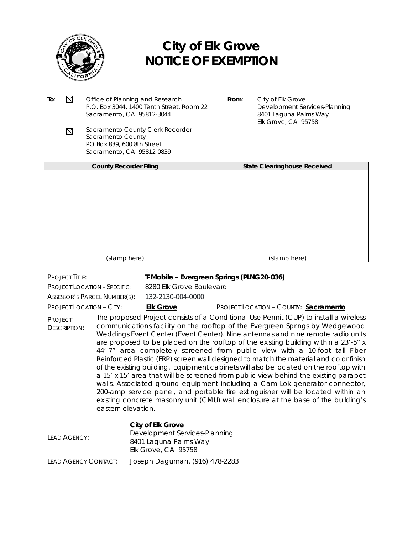

# **City of Elk Grove NOTICE OF EXEMPTION**

- **To:**  $\boxtimes$  Office of Planning and Research P.O. Box 3044, 1400 Tenth Street, Room 22 Sacramento, CA 95812-3044
- **From**: City of Elk Grove Development Services-Planning 8401 Laguna Palms Way Elk Grove, CA 95758
- Sacramento County Clerk-Recorder  $\boxtimes$ Sacramento County PO Box 839, 600 8th Street Sacramento, CA 95812-0839

| <b>County Recorder Filing</b> | <b>State Clearinghouse Received</b> |
|-------------------------------|-------------------------------------|
|                               |                                     |
|                               |                                     |
|                               |                                     |
|                               |                                     |
|                               |                                     |
|                               |                                     |
|                               |                                     |
|                               |                                     |
|                               |                                     |
|                               |                                     |
|                               |                                     |
|                               |                                     |
|                               |                                     |
|                               |                                     |
|                               |                                     |
|                               |                                     |
|                               |                                     |
| (stamp here)                  | (stamp here)                        |
|                               |                                     |

## PROJECT TITLE: **T-Mobile – Evergreen Springs (PLNG20-036)**

PROJECT LOCATION - SPECIFIC: 8280 Elk Grove Boulevard

ASSESSOR'S PARCEL NUMBER(S): 132-2130-004-0000

### PROJECT LOCATION – CITY: **Elk Grove** PROJECT LOCATION – COUNTY: **Sacramento**

PROJECT DESCRIPTION: The proposed Project consists of a Conditional Use Permit (CUP) to install a wireless communications facility on the rooftop of the Evergreen Springs by Wedgewood Weddings Event Center (Event Center). Nine antennas and nine remote radio units are proposed to be placed on the rooftop of the existing building within a 23'-5" x 44'-7" area completely screened from public view with a 10-foot tall Fiber Reinforced Plastic (FRP) screen wall designed to match the material and color finish of the existing building. Equipment cabinets will also be located on the rooftop with a 15' x 15' area that will be screened from public view behind the existing parapet walls. Associated ground equipment including a Cam Lok generator connector, 200-amp service panel, and portable fire extinguisher will be located within an existing concrete masonry unit (CMU) wall enclosure at the base of the building's eastern elevation.

## **City of Elk Grove**

| LEAD AGENCY:         | Development Services-Planning<br>8401 Laguna Palms Way |  |
|----------------------|--------------------------------------------------------|--|
|                      | Elk Grove, CA 95758                                    |  |
| LEAD AGENCY CONTACT: | Joseph Daguman, (916) 478-2283                         |  |